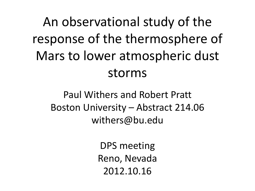# An observational study of the response of the thermosphere of Mars to lower atmospheric dust storms

Paul Withers and Robert Pratt Boston University – Abstract 214.06 withers@bu.edu

> DPS meeting Reno, Nevada 2012.10.16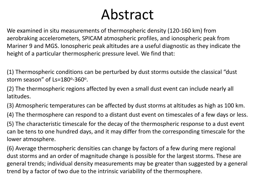## Abstract

We examined in situ measurements of thermospheric density (120-160 km) from aerobraking accelerometers, SPICAM atmospheric profiles, and ionospheric peak from Mariner 9 and MGS. Ionospheric peak altitudes are a useful diagnostic as they indicate the height of a particular thermospheric pressure level. We find that:

(1) Thermospheric conditions can be perturbed by dust storms outside the classical "dust storm season" of  $Ls = 180^\circ - 360^\circ$ .

(2) The thermospheric regions affected by even a small dust event can include nearly all latitudes.

(3) Atmospheric temperatures can be affected by dust storms at altitudes as high as 100 km.

(4) The thermosphere can respond to a distant dust event on timescales of a few days or less.

(5) The characteristic timescale for the decay of the thermospheric response to a dust event can be tens to one hundred days, and it may differ from the corresponding timescale for the lower atmosphere.

(6) Average thermospheric densities can change by factors of a few during mere regional dust storms and an order of magnitude change is possible for the largest storms. These are general trends; individual density measurements may be greater than suggested by a general trend by a factor of two due to the intrinsic variability of the thermosphere.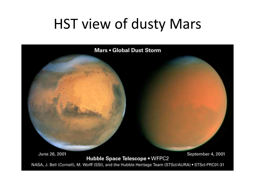#### HST view of dusty Mars

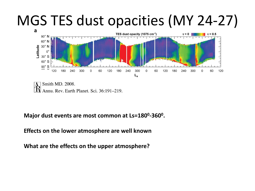## MGS TES dust opacities (MY 24-27)



Smith MD. 2008. Annu, Rev. Earth Planet, Sci. 36:191–219.

**Major dust events are most common at Ls=180<sup>0</sup> -360<sup>0</sup> .** 

**Effects on the lower atmosphere are well known**

**What are the effects on the upper atmosphere?**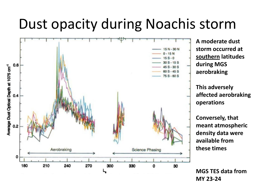## Dust opacity during Noachis storm



**A moderate dust storm occurred at southern latitudes during MGS aerobraking**

**This adversely affected aerobraking operations**

**Conversely, that meant atmospheric density data were available from these times**

**MGS TES data from MY 23-24**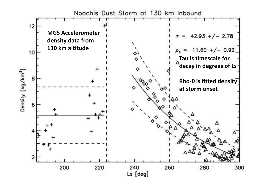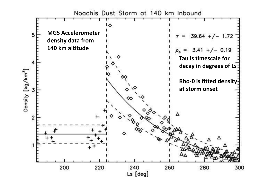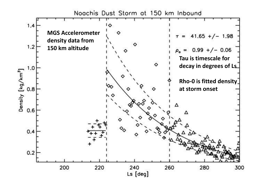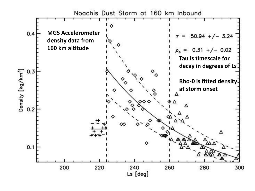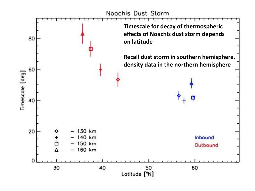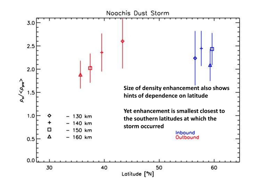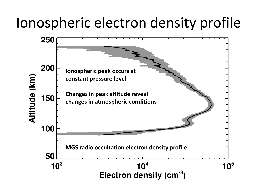## Ionospheric electron density profile

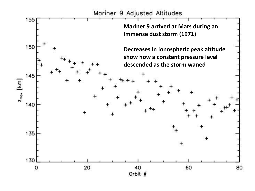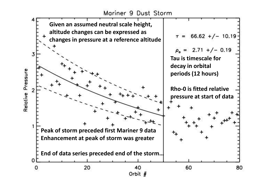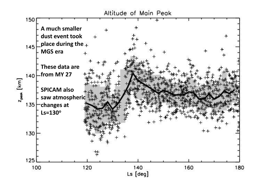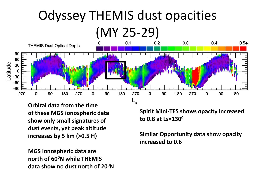# Odyssey THEMIS dust opacities



**Orbital data from the time of these MGS ionospheric data show only small signatures of dust events, yet peak altitude increases by 5 km (>0.5 H)**

**MGS ionospheric data are north of 60<sup>0</sup>N while THEMIS data show no dust north of 20<sup>0</sup>N** **Spirit Mini-TES shows opacity increased to 0.8 at Ls=130<sup>0</sup>**

**Similar Opportunity data show opacity increased to 0.6**